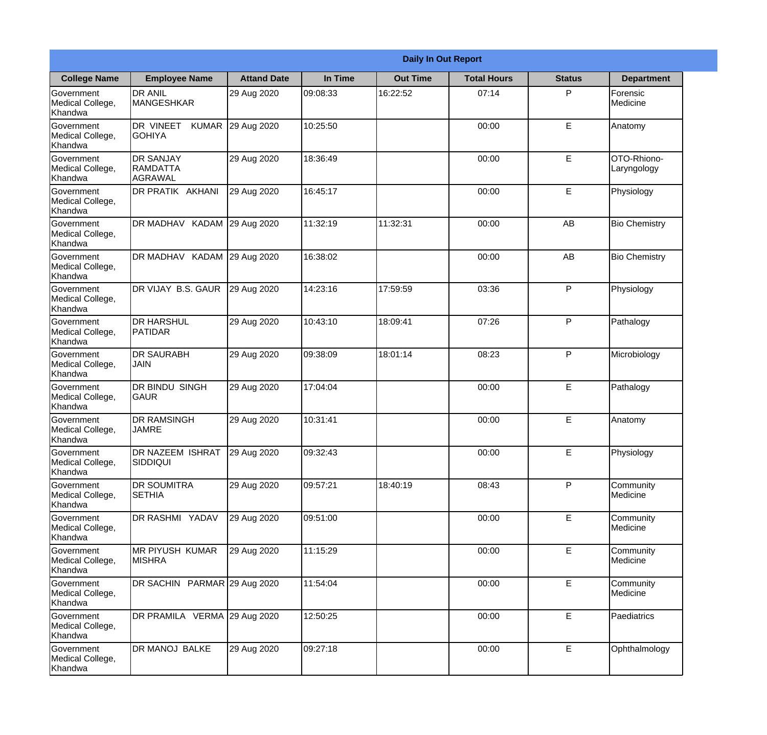|                                                  |                                                 |                    |          | <b>Daily In Out Report</b> |                    |               |                            |
|--------------------------------------------------|-------------------------------------------------|--------------------|----------|----------------------------|--------------------|---------------|----------------------------|
| <b>College Name</b>                              | <b>Employee Name</b>                            | <b>Attand Date</b> | In Time  | <b>Out Time</b>            | <b>Total Hours</b> | <b>Status</b> | <b>Department</b>          |
| Government<br>Medical College,<br>Khandwa        | <b>DR ANIL</b><br><b>MANGESHKAR</b>             | 29 Aug 2020        | 09:08:33 | 16:22:52                   | 07:14              | P             | Forensic<br>Medicine       |
| Government<br>Medical College,<br>Khandwa        | DR VINEET<br><b>GOHIYA</b>                      | KUMAR 29 Aug 2020  | 10:25:50 |                            | 00:00              | E             | Anatomy                    |
| <b>Government</b><br>Medical College,<br>Khandwa | <b>DR SANJAY</b><br><b>IRAMDATTA</b><br>AGRAWAL | 29 Aug 2020        | 18:36:49 |                            | 00:00              | E             | OTO-Rhiono-<br>Laryngology |
| <b>Government</b><br>Medical College,<br>Khandwa | DR PRATIK AKHANI                                | 29 Aug 2020        | 16:45:17 |                            | 00:00              | E             | Physiology                 |
| Government<br>Medical College,<br>Khandwa        | DR MADHAV KADAM 29 Aug 2020                     |                    | 11:32:19 | 11:32:31                   | 00:00              | AB            | <b>Bio Chemistry</b>       |
| Government<br>Medical College,<br>Khandwa        | DR MADHAV KADAM 29 Aug 2020                     |                    | 16:38:02 |                            | 00:00              | AB            | <b>Bio Chemistry</b>       |
| <b>Government</b><br>Medical College,<br>Khandwa | DR VIJAY B.S. GAUR                              | 29 Aug 2020        | 14:23:16 | 17:59:59                   | 03:36              | P             | Physiology                 |
| <b>Government</b><br>Medical College,<br>Khandwa | <b>DR HARSHUL</b><br>PATIDAR                    | 29 Aug 2020        | 10:43:10 | 18:09:41                   | 07:26              | P             | Pathalogy                  |
| Government<br>Medical College,<br>Khandwa        | <b>DR SAURABH</b><br><b>JAIN</b>                | 29 Aug 2020        | 09:38:09 | 18:01:14                   | 08:23              | P             | Microbiology               |
| Government<br>Medical College,<br>Khandwa        | DR BINDU SINGH<br> GAUR                         | 29 Aug 2020        | 17:04:04 |                            | 00:00              | $\mathsf E$   | Pathalogy                  |
| Government<br>Medical College,<br>Khandwa        | <b>DR RAMSINGH</b><br><b>JAMRE</b>              | 29 Aug 2020        | 10:31:41 |                            | 00:00              | E             | Anatomy                    |
| Government<br>Medical College,<br>Khandwa        | <b>DR NAZEEM ISHRAT</b><br><b>SIDDIQUI</b>      | 29 Aug 2020        | 09:32:43 |                            | 00:00              | E             | Physiology                 |
| Government<br>Medical College,<br>Khandwa        | <b>DR SOUMITRA</b><br><b>SETHIA</b>             | 29 Aug 2020        | 09:57:21 | 18:40:19                   | 08:43              | P             | Community<br>Medicine      |
| Government<br>Medical College,<br>Khandwa        | DR RASHMI YADAV                                 | 29 Aug 2020        | 09:51:00 |                            | 00:00              | $\mathsf E$   | Community<br>Medicine      |
| Government<br>Medical College,<br>Khandwa        | MR PIYUSH KUMAR<br><b>MISHRA</b>                | 29 Aug 2020        | 11:15:29 |                            | 00:00              | E             | Community<br>Medicine      |
| Government<br>Medical College,<br>Khandwa        | DR SACHIN PARMAR 29 Aug 2020                    |                    | 11:54:04 |                            | 00:00              | E             | Community<br>Medicine      |
| Government<br>Medical College,<br>Khandwa        | DR PRAMILA VERMA 29 Aug 2020                    |                    | 12:50:25 |                            | 00:00              | E             | Paediatrics                |
| Government<br>Medical College,<br>Khandwa        | DR MANOJ BALKE                                  | 29 Aug 2020        | 09:27:18 |                            | 00:00              | $\mathsf E$   | Ophthalmology              |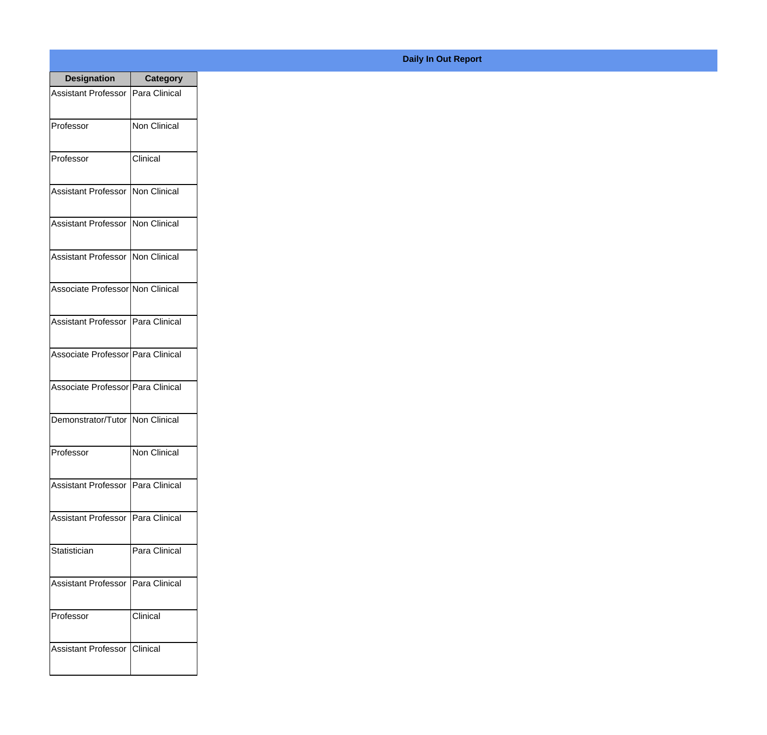| <b>Designation</b>                  | <b>Category</b>     |
|-------------------------------------|---------------------|
| Assistant Professor   Para Clinical |                     |
| Professor                           | <b>Non Clinical</b> |
| Professor                           | Clinical            |
| Assistant Professor                 | Non Clinical        |
| <b>Assistant Professor</b>          | Non Clinical        |
| Assistant Professor   Non Clinical  |                     |
| Associate Professor Non Clinical    |                     |
| Assistant Professor   Para Clinical |                     |
| Associate Professor Para Clinical   |                     |
| Associate Professor   Para Clinical |                     |
| Demonstrator/Tutor   Non Clinical   |                     |
| Professor                           | Non Clinical        |
| Assistant Professor   Para Clinical |                     |
| <b>Assistant Professor</b>          | Para Clinical       |
| Statistician                        | Para Clinical       |
| <b>Assistant Professor</b>          | Para Clinical       |
| Professor                           | Clinical            |
| <b>Assistant Professor</b>          | Clinical            |

## **Daily In Out Report**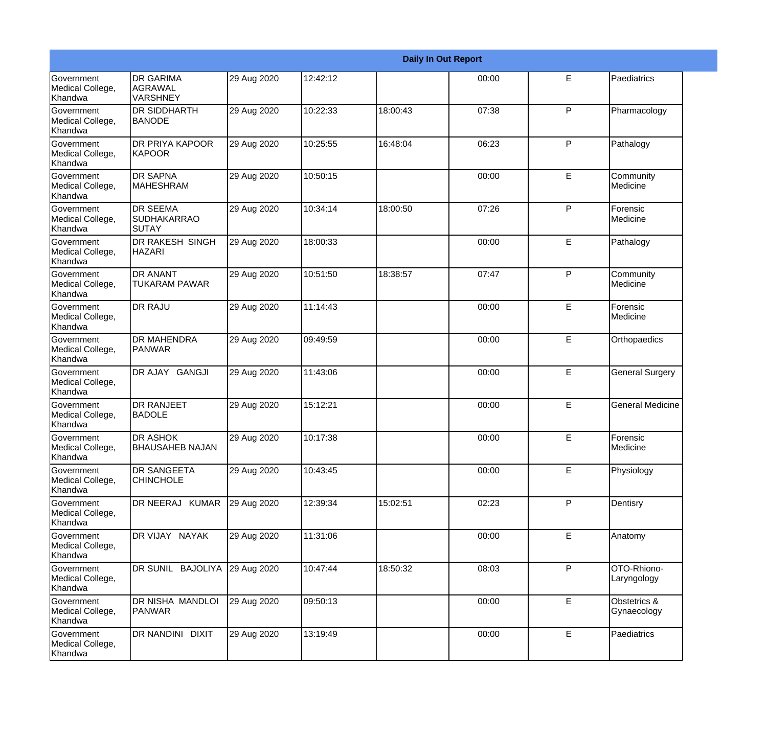|                                           |                                                       |             |          |          | <b>Daily In Out Report</b> |              |                             |
|-------------------------------------------|-------------------------------------------------------|-------------|----------|----------|----------------------------|--------------|-----------------------------|
| Government<br>Medical College,<br>Khandwa | <b>DR GARIMA</b><br><b>AGRAWAL</b><br><b>VARSHNEY</b> | 29 Aug 2020 | 12:42:12 |          | 00:00                      | E            | Paediatrics                 |
| Government<br>Medical College,<br>Khandwa | <b>DR SIDDHARTH</b><br><b>BANODE</b>                  | 29 Aug 2020 | 10:22:33 | 18:00:43 | 07:38                      | $\mathsf{P}$ | Pharmacology                |
| Government<br>Medical College,<br>Khandwa | <b>DR PRIYA KAPOOR</b><br>KAPOOR                      | 29 Aug 2020 | 10:25:55 | 16:48:04 | 06:23                      | $\mathsf{P}$ | Pathalogy                   |
| Government<br>Medical College,<br>Khandwa | <b>DR SAPNA</b><br>MAHESHRAM                          | 29 Aug 2020 | 10:50:15 |          | 00:00                      | E            | Community<br>Medicine       |
| Government<br>Medical College,<br>Khandwa | <b>DR SEEMA</b><br><b>SUDHAKARRAO</b><br><b>SUTAY</b> | 29 Aug 2020 | 10:34:14 | 18:00:50 | 07:26                      | $\mathsf{P}$ | Forensic<br>Medicine        |
| Government<br>Medical College,<br>Khandwa | DR RAKESH SINGH<br><b>HAZARI</b>                      | 29 Aug 2020 | 18:00:33 |          | 00:00                      | E            | Pathalogy                   |
| Government<br>Medical College,<br>Khandwa | <b>DR ANANT</b><br><b>TUKARAM PAWAR</b>               | 29 Aug 2020 | 10:51:50 | 18:38:57 | 07:47                      | $\mathsf{P}$ | Community<br>Medicine       |
| Government<br>Medical College,<br>Khandwa | <b>DR RAJU</b>                                        | 29 Aug 2020 | 11:14:43 |          | 00:00                      | E            | Forensic<br>Medicine        |
| Government<br>Medical College,<br>Khandwa | <b>DR MAHENDRA</b><br>PANWAR                          | 29 Aug 2020 | 09:49:59 |          | 00:00                      | E            | Orthopaedics                |
| Government<br>Medical College,<br>Khandwa | DR AJAY GANGJI                                        | 29 Aug 2020 | 11:43:06 |          | 00:00                      | E            | <b>General Surgery</b>      |
| Government<br>Medical College,<br>Khandwa | <b>DR RANJEET</b><br><b>BADOLE</b>                    | 29 Aug 2020 | 15:12:21 |          | 00:00                      | E            | <b>General Medicine</b>     |
| Government<br>Medical College,<br>Khandwa | <b>DR ASHOK</b><br><b>BHAUSAHEB NAJAN</b>             | 29 Aug 2020 | 10:17:38 |          | 00:00                      | E            | Forensic<br>Medicine        |
| Government<br>Medical College,<br>Khandwa | <b>DR SANGEETA</b><br><b>CHINCHOLE</b>                | 29 Aug 2020 | 10:43:45 |          | 00:00                      | E            | Physiology                  |
| Government<br>Medical College,<br>Khandwa | DR NEERAJ KUMAR                                       | 29 Aug 2020 | 12:39:34 | 15:02:51 | 02:23                      | P            | Dentisry                    |
| Government<br>Medical College,<br>Khandwa | DR VIJAY NAYAK                                        | 29 Aug 2020 | 11:31:06 |          | 00:00                      | E            | Anatomy                     |
| Government<br>Medical College,<br>Khandwa | DR SUNIL BAJOLIYA                                     | 29 Aug 2020 | 10:47:44 | 18:50:32 | 08:03                      | $\mathsf{P}$ | OTO-Rhiono-<br>Laryngology  |
| Government<br>Medical College,<br>Khandwa | DR NISHA MANDLOI<br>PANWAR                            | 29 Aug 2020 | 09:50:13 |          | 00:00                      | E            | Obstetrics &<br>Gynaecology |
| Government<br>Medical College,<br>Khandwa | DR NANDINI DIXIT                                      | 29 Aug 2020 | 13:19:49 |          | 00:00                      | E            | Paediatrics                 |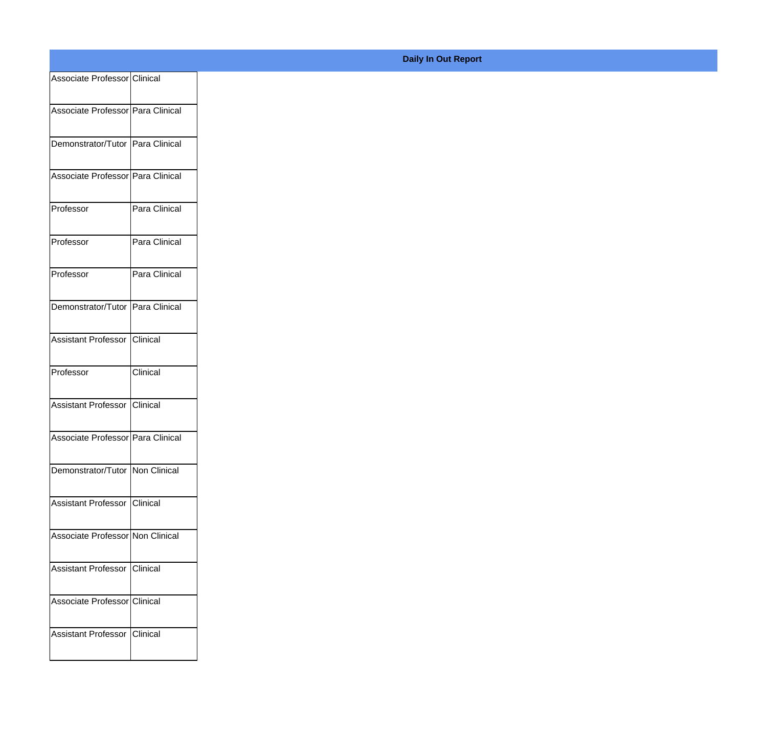| Associate Professor Clinical          |               |  |
|---------------------------------------|---------------|--|
| Associate Professor   Para Clinical   |               |  |
| Demonstrator/Tutor   Para Clinical    |               |  |
| Associate Professor   Para Clinical   |               |  |
| Professor                             | Para Clinical |  |
| Professor                             | Para Clinical |  |
| Professor                             | Para Clinical |  |
| Demonstrator/Tutor   Para Clinical    |               |  |
| <b>Assistant Professor</b>            | Clinical      |  |
| Professor                             | Clinical      |  |
| Assistant Professor Clinical          |               |  |
| Associate Professor Para Clinical     |               |  |
| Demonstrator/Tutor Non Clinical       |               |  |
| <b>Assistant Professor   Clinical</b> |               |  |
| Associate Professor Non Clinical      |               |  |
| Assistant Professor Clinical          |               |  |
| Associate Professor Clinical          |               |  |
| <b>Assistant Professor</b>            | Clinical      |  |

## **Daily In Out Report**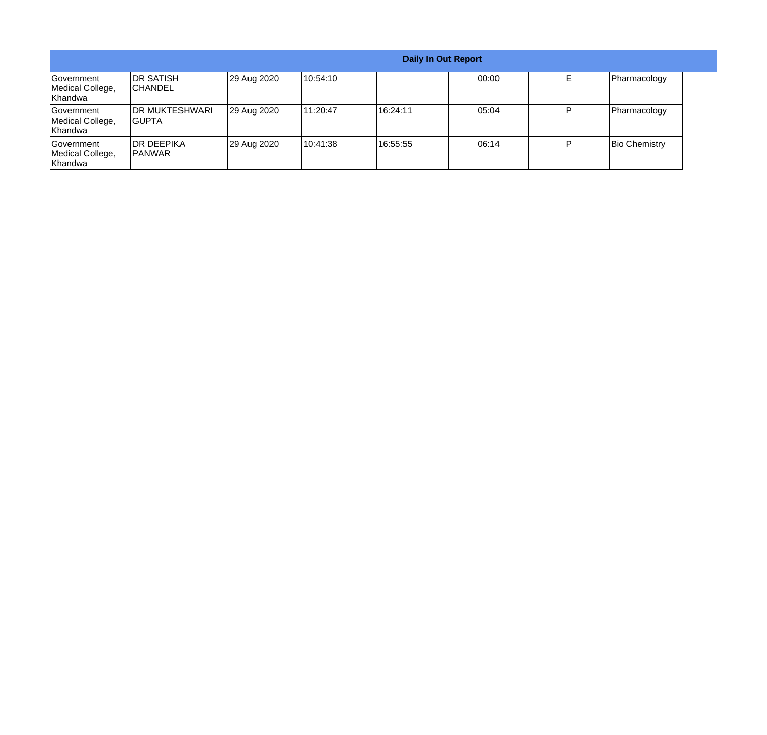|                                                  |                                      |             |          | Daily In Out Report |       |   |                      |
|--------------------------------------------------|--------------------------------------|-------------|----------|---------------------|-------|---|----------------------|
| Government<br>Medical College,<br>Khandwa        | <b>IDR SATISH</b><br><b>ICHANDEL</b> | 29 Aug 2020 | 10:54:10 |                     | 00:00 |   | Pharmacology         |
| Government<br>Medical College,<br>Khandwa        | <b>IDR MUKTESHWARI</b><br>IGUPTA     | 29 Aug 2020 | 11:20:47 | 116:24:11           | 05:04 | D | Pharmacology         |
| <b>Government</b><br>Medical College,<br>Khandwa | <b>IDR DEEPIKA</b><br>IPANWAR        | 29 Aug 2020 | 10:41:38 | 16:55:55            | 06:14 |   | <b>Bio Chemistry</b> |